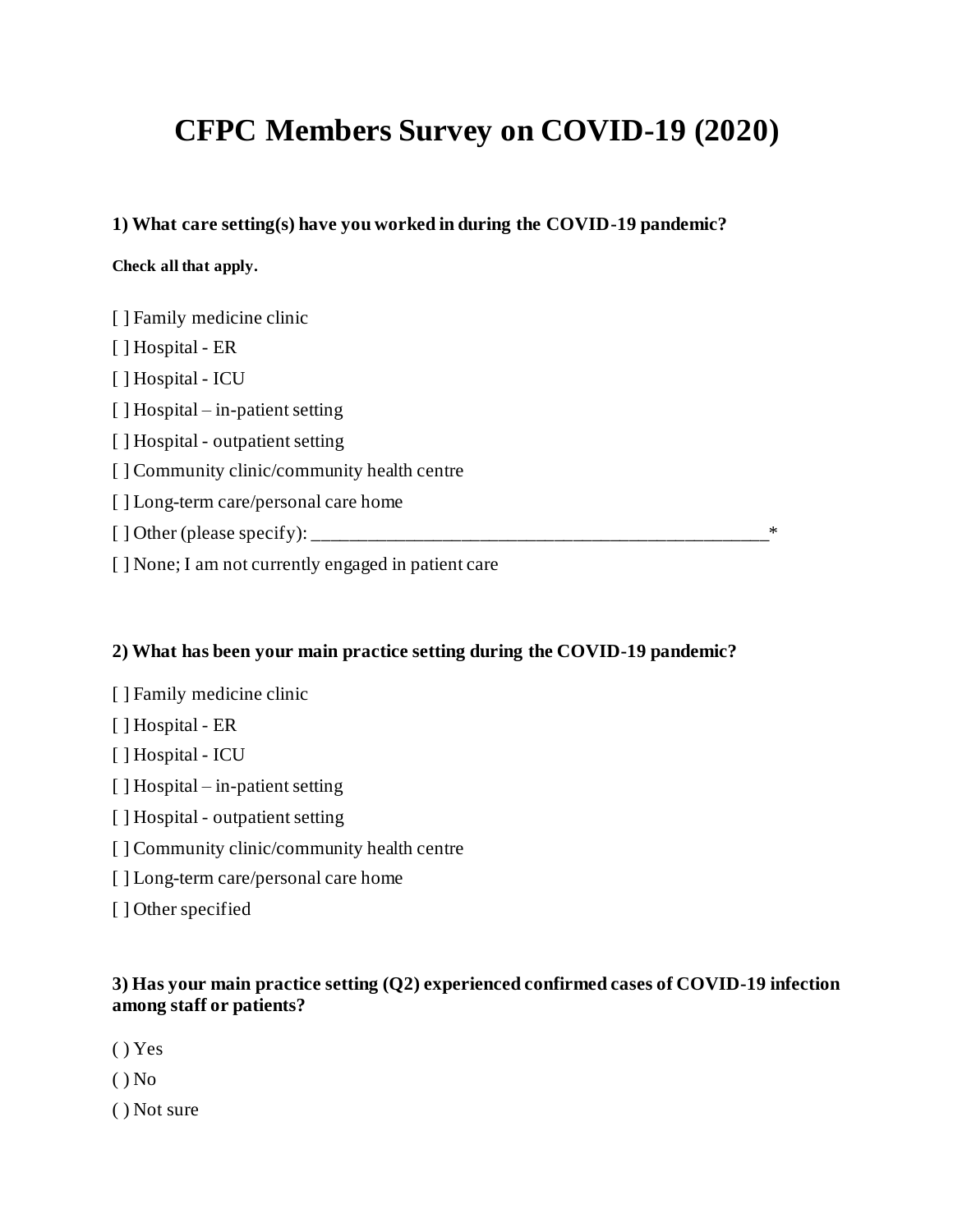# **CFPC Members Survey on COVID-19 (2020)**

**1) What care setting(s) have you worked in during the COVID-19 pandemic?**

#### **Check all that apply.**

| [ ] Family medicine clinic                           |   |
|------------------------------------------------------|---|
| [] Hospital - ER                                     |   |
| [] Hospital - ICU                                    |   |
| $\lceil$ Hospital – in-patient setting               |   |
| [] Hospital - outpatient setting                     |   |
| [ ] Community clinic/community health centre         |   |
| [ ] Long-term care/personal care home                |   |
|                                                      | ∗ |
| [ ] None; I am not currently engaged in patient care |   |

#### **2) What has been your main practice setting during the COVID-19 pandemic?**

- [ ] Family medicine clinic
- [ ] Hospital ER
- [ ] Hospital ICU
- [ ] Hospital in-patient setting
- [ ] Hospital outpatient setting
- [ ] Community clinic/community health centre
- [] Long-term care/personal care home
- [ ] Other specified

#### **3) Has your main practice setting (Q2) experienced confirmed cases of COVID-19 infection among staff or patients?**

- ( ) Yes
- $()$  No
- ( ) Not sure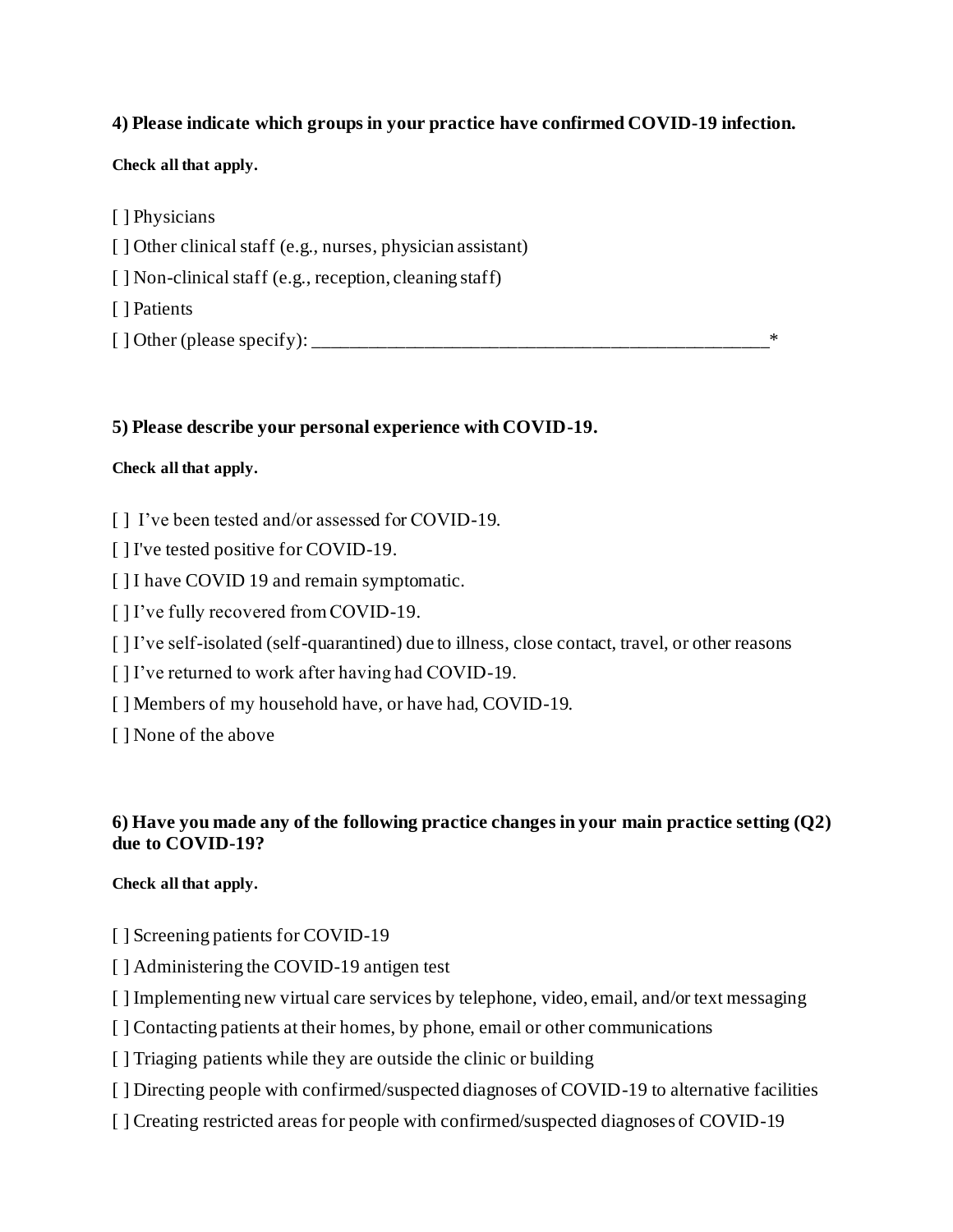#### **4) Please indicate which groups in your practice have confirmed COVID-19 infection.**

#### **Check all that apply.**

[ ] Physicians

[ ] Other clinical staff (e.g., nurses, physician assistant)

[] Non-clinical staff (e.g., reception, cleaning staff)

[ ] Patients

[ ] Other (please specify): \_\_\_\_\_\_\_\_\_\_\_\_\_\_\_\_\_\_\_\_\_\_\_\_\_\_\_\_\_\_\_\_\_\_\_\_\_\_\_\_\_\_\_\_\_\_\_\_\_\*

#### **5) Please describe your personal experience with COVID-19.**

#### **Check all that apply.**

- [] I've been tested and/or assessed for COVID-19.
- [ ] I've tested positive for COVID-19.
- [ ] I have COVID 19 and remain symptomatic.
- [ ] I've fully recovered from COVID-19.
- [] I've self-isolated (self-quarantined) due to illness, close contact, travel, or other reasons
- [] I've returned to work after having had COVID-19.
- [] Members of my household have, or have had, COVID-19.
- [ ] None of the above

#### **6) Have you made any of the following practice changes in your main practice setting (Q2) due to COVID-19?**

#### **Check all that apply.**

- [ ] Screening patients for COVID-19
- [ ] Administering the COVID-19 antigen test
- [ ] Implementing new virtual care services by telephone, video, email, and/or text messaging
- [  $\vert$  Contacting patients at their homes, by phone, email or other communications
- [ ] Triaging patients while they are outside the clinic or building
- [ ] Directing people with confirmed/suspected diagnoses of COVID-19 to alternative facilities
- [ ] Creating restricted areas for people with confirmed/suspected diagnoses of COVID-19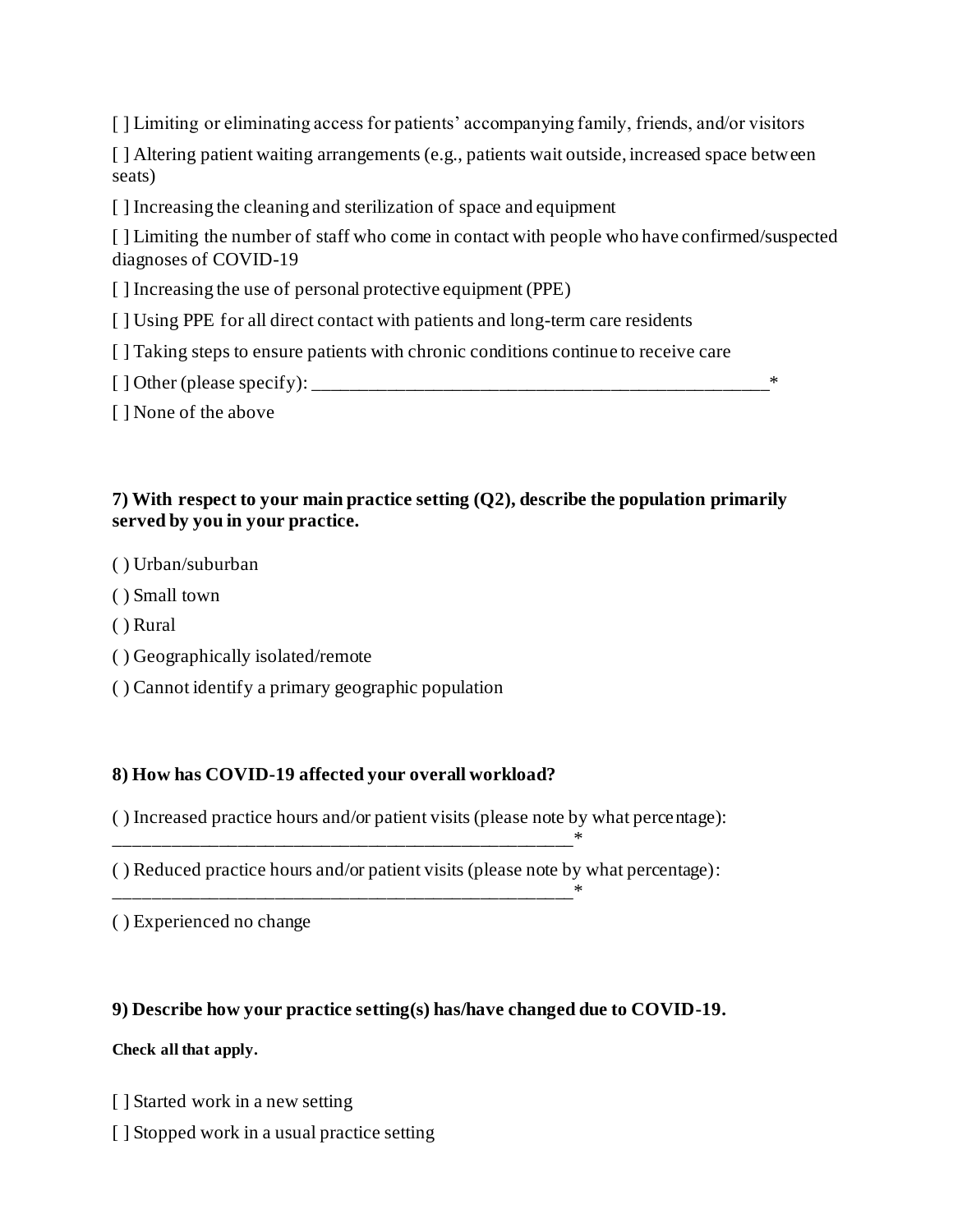[ ] Limiting or eliminating access for patients' accompanying family, friends, and/or visitors

[] Altering patient waiting arrangements (e.g., patients wait outside, increased space between seats)

[ ] Increasing the cleaning and sterilization of space and equipment

[] Limiting the number of staff who come in contact with people who have confirmed/suspected diagnoses of COVID-19

[ ] Increasing the use of personal protective equipment (PPE)

[ ] Using PPE for all direct contact with patients and long-term care residents

[ ] Taking steps to ensure patients with chronic conditions continue to receive care

[ ] Other (please specify): \_\_\_\_\_\_\_\_\_\_\_\_\_\_\_\_\_\_\_\_\_\_\_\_\_\_\_\_\_\_\_\_\_\_\_\_\_\_\_\_\_\_\_\_\_\_\_\_\_\*

[ ] None of the above

## **7) With respect to your main practice setting (Q2), describe the population primarily served by you in your practice.**

- ( ) Urban/suburban
- ( ) Small town
- ( ) Rural
- ( ) Geographically isolated/remote
- ( ) Cannot identify a primary geographic population

## **8) How has COVID-19 affected your overall workload?**

\_\_\_\_\_\_\_\_\_\_\_\_\_\_\_\_\_\_\_\_\_\_\_\_\_\_\_\_\_\_\_\_\_\_\_\_\_\_\_\_\_\_\_\_\_\_\_\_\_\*

- ( ) Increased practice hours and/or patient visits (please note by what percentage):
- ( ) Reduced practice hours and/or patient visits (please note by what percentage):

( ) Experienced no change

#### **9) Describe how your practice setting(s) has/have changed due to COVID-19.**

#### **Check all that apply.**

- [ ] Started work in a new setting
- [ ] Stopped work in a usual practice setting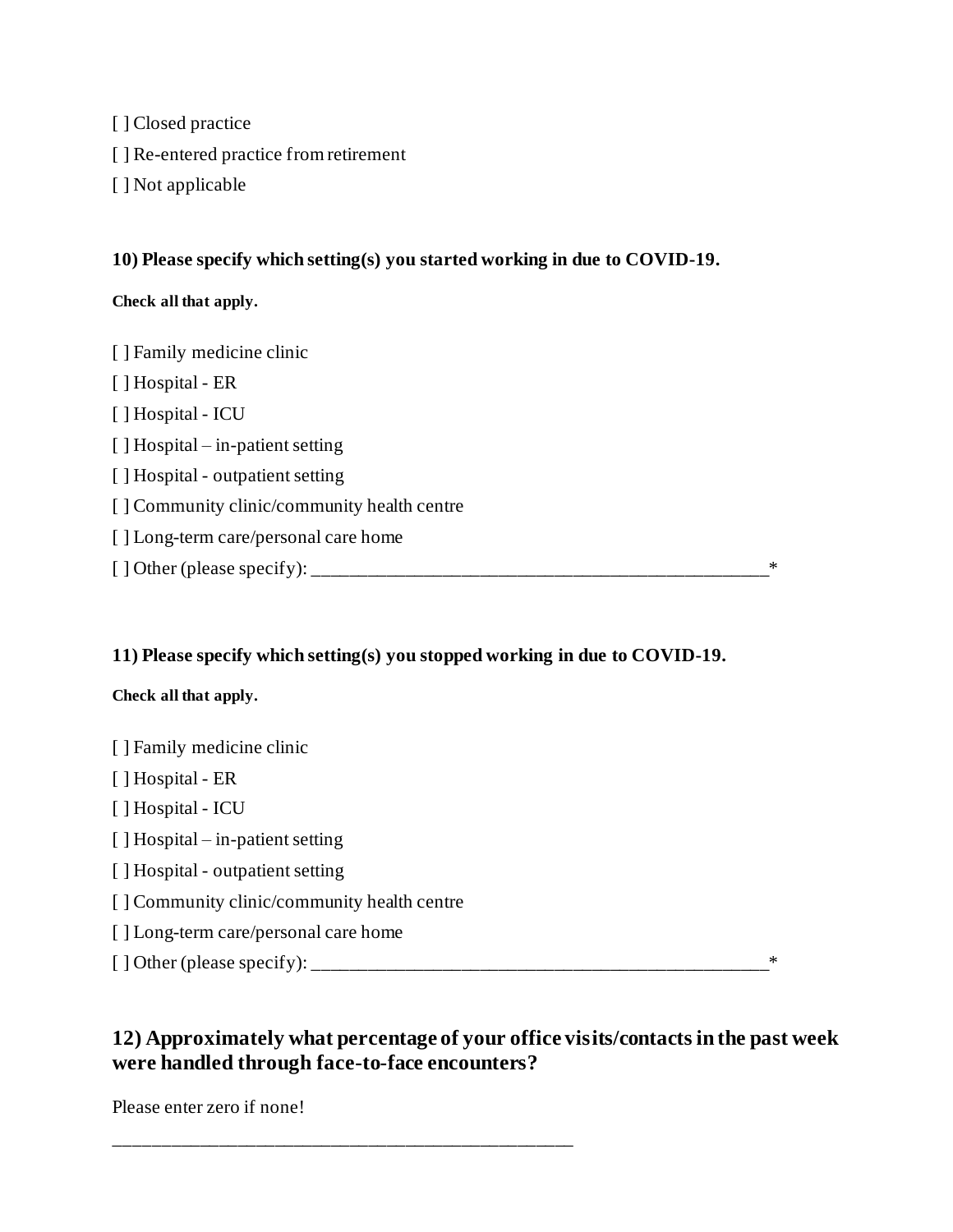[ ] Closed practice [ ] Re-entered practice from retirement [ ] Not applicable

#### **10) Please specify which setting(s) you started working in due to COVID-19.**

#### **Check all that apply.**

[ ] Family medicine clinic [ ] Hospital - ER [ ] Hospital - ICU [ ] Hospital – in-patient setting [ ] Hospital - outpatient setting [ ] Community clinic/community health centre [] Long-term care/personal care home [ ] Other (please specify): \_\_\_\_\_\_\_\_\_\_\_\_\_\_\_\_\_\_\_\_\_\_\_\_\_\_\_\_\_\_\_\_\_\_\_\_\_\_\_\_\_\_\_\_\_\_\_\_\_\*

#### **11) Please specify which setting(s) you stopped working in due to COVID-19.**

#### **Check all that apply.**

[ ] Family medicine clinic [ ] Hospital - ER [ ] Hospital - ICU [ ] Hospital – in-patient setting [ ] Hospital - outpatient setting [ ] Community clinic/community health centre [ ] Long-term care/personal care home [ ] Other (please specify): \_\_\_\_\_\_\_\_\_\_\_\_\_\_\_\_\_\_\_\_\_\_\_\_\_\_\_\_\_\_\_\_\_\_\_\_\_\_\_\_\_\_\_\_\_\_\_\_\_\*

## **12) Approximately what percentage of your office visits/contacts in the past week were handled through face-to-face encounters?**

Please enter zero if none!

\_\_\_\_\_\_\_\_\_\_\_\_\_\_\_\_\_\_\_\_\_\_\_\_\_\_\_\_\_\_\_\_\_\_\_\_\_\_\_\_\_\_\_\_\_\_\_\_\_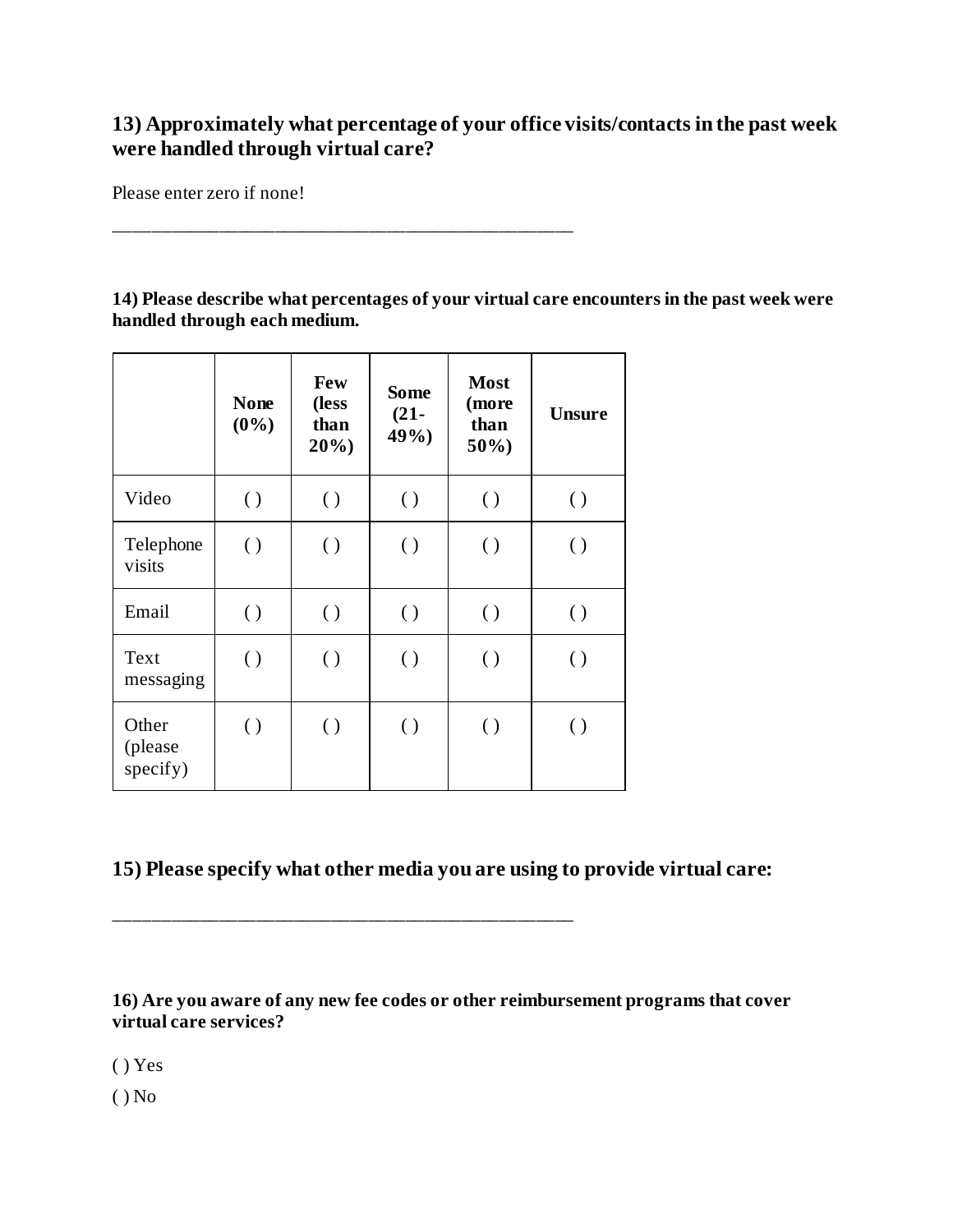## **13) Approximately what percentage of your office visits/contacts in the past week were handled through virtual care?**

Please enter zero if none!

**14) Please describe what percentages of your virtual care encounters in the past week were handled through each medium.**

|                              | <b>None</b><br>$(0\%)$ | Few<br>(less<br>than<br>20% | <b>Some</b><br>$(21 -$<br>49% | <b>Most</b><br>(more<br>than<br>$50\%$ | <b>Unsure</b>      |
|------------------------------|------------------------|-----------------------------|-------------------------------|----------------------------------------|--------------------|
| Video                        | $\left( \right)$       | $\left( \ \right)$          | $\left( \right)$              | $\left( \ \right)$                     | $\left( \ \right)$ |
| Telephone<br>visits          | $\left( \right)$       | $\left( \ \right)$          | $\left( \ \right)$            | $\left( \ \right)$                     | $\left( \ \right)$ |
| Email                        | $\left( \ \right)$     | $\left( \ \right)$          | $\left( \ \right)$            | $\left( \right)$                       | $\left( \ \right)$ |
| Text<br>messaging            | $\left( \ \right)$     | $\left( \ \right)$          | $\left( \ \right)$            | $\left( \ \right)$                     | $\left( \ \right)$ |
| Other<br>(please<br>specify) | $\left( \ \right)$     | $\left( \ \right)$          | $\left( \right)$              | $\left( \ \right)$                     | $\left( \ \right)$ |

\_\_\_\_\_\_\_\_\_\_\_\_\_\_\_\_\_\_\_\_\_\_\_\_\_\_\_\_\_\_\_\_\_\_\_\_\_\_\_\_\_\_\_\_\_\_\_\_\_

\_\_\_\_\_\_\_\_\_\_\_\_\_\_\_\_\_\_\_\_\_\_\_\_\_\_\_\_\_\_\_\_\_\_\_\_\_\_\_\_\_\_\_\_\_\_\_\_\_

## **15) Please specify what other media you are using to provide virtual care:**

**16) Are you aware of any new fee codes or other reimbursement programs that cover virtual care services?**

( ) Yes

 $()$  No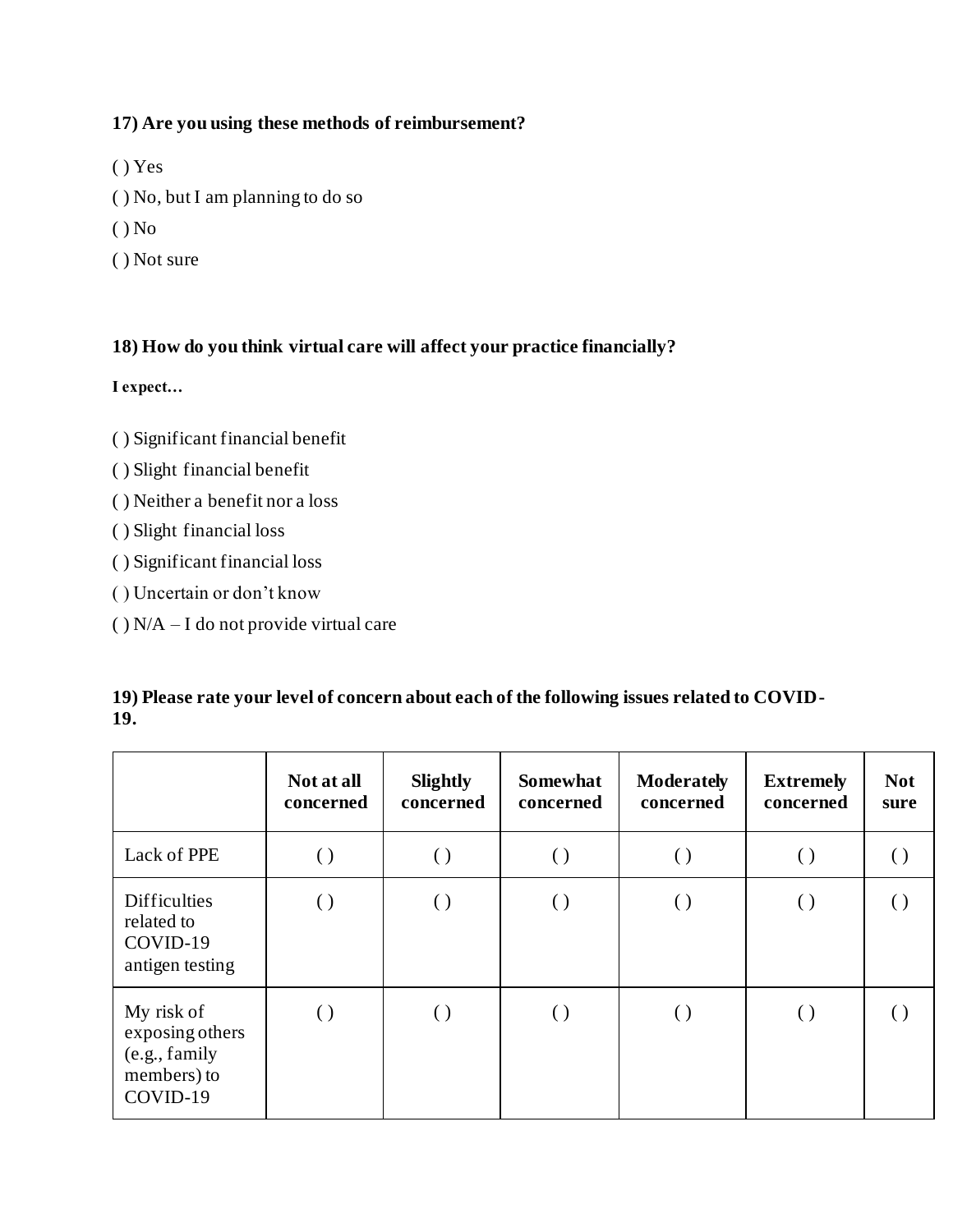#### **17) Are you using these methods of reimbursement?**

- ( ) Yes
- ( ) No, but I am planning to do so
- ( ) No
- ( ) Not sure

## **18) How do you think virtual care will affect your practice financially?**

**I expect…**

- ( ) Significant financial benefit
- ( ) Slight financial benefit
- ( ) Neither a benefit nor a loss
- ( ) Slight financial loss
- ( ) Significant financial loss
- ( ) Uncertain or don't know
- $( )$  N/A I do not provide virtual care

|                                                                           | Not at all<br>concerned | <b>Slightly</b><br>concerned | <b>Somewhat</b><br>concerned | <b>Moderately</b><br>concerned | <b>Extremely</b><br>concerned | <b>Not</b><br>sure |  |
|---------------------------------------------------------------------------|-------------------------|------------------------------|------------------------------|--------------------------------|-------------------------------|--------------------|--|
| Lack of PPE                                                               | $\left( \ \right)$      | $\left( \ \right)$           | $\left( \ \right)$           | $\left( \ \right)$             | $\left( \ \right)$            |                    |  |
| <b>Difficulties</b><br>related to<br>COVID-19<br>antigen testing          | $\left( \ \right)$      | $\left( \ \right)$           | $\left( \ \right)$           | $\left( \ \right)$             | $\left( \ \right)$            |                    |  |
| My risk of<br>exposing others<br>(e.g., family<br>members) to<br>COVID-19 |                         | $\left( \right)$             | $\left( \ \right)$           | $\left( \ \right)$             | $\left( \ \right)$            |                    |  |

#### **19) Please rate your level of concern about each of the following issues related to COVID-19.**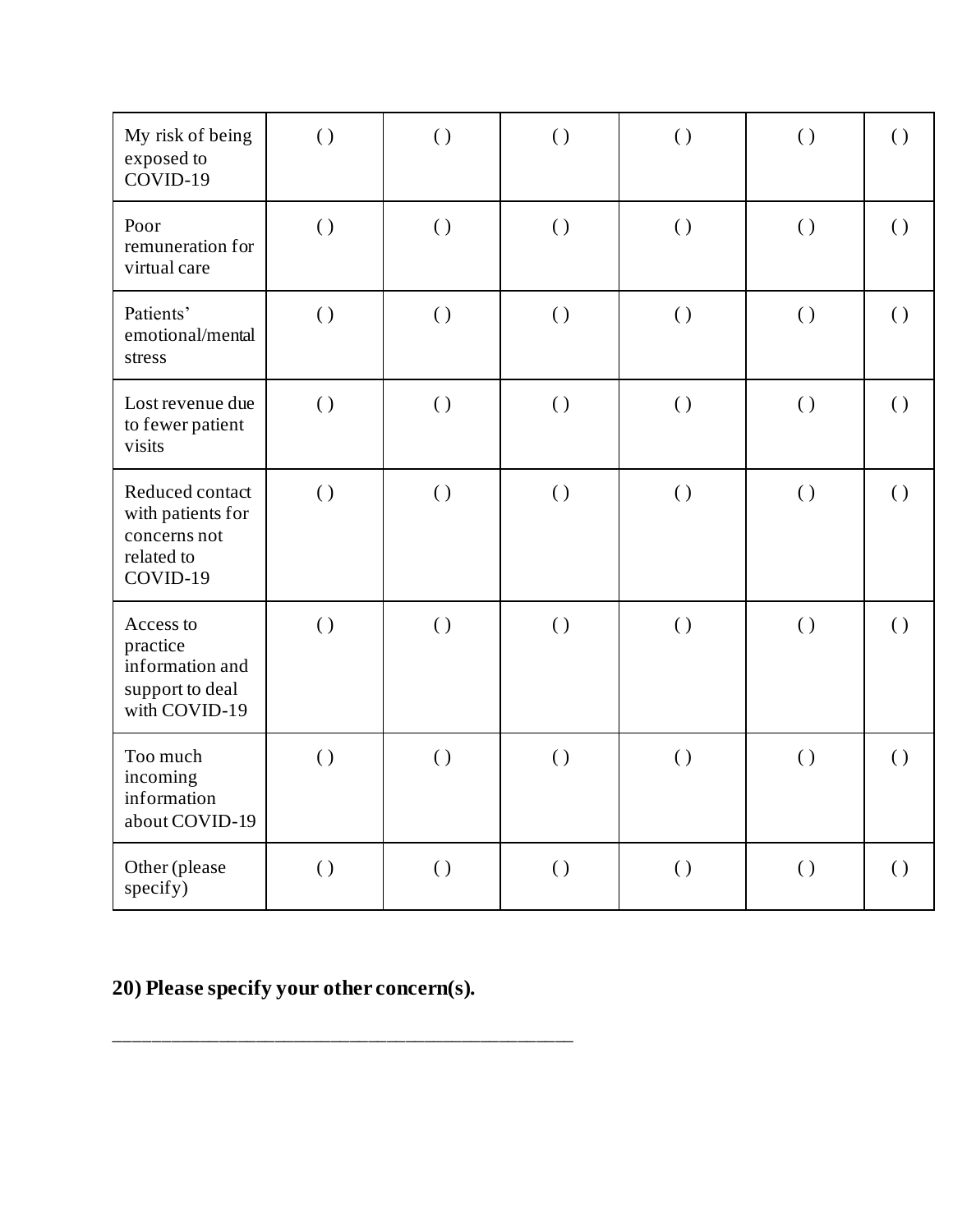| My risk of being<br>exposed to<br>COVID-19                                     | $\left( \right)$   | $\left( \right)$   | $\left( \right)$   | $\left( \right)$   | $\left( \right)$   | $\left( \right)$   |
|--------------------------------------------------------------------------------|--------------------|--------------------|--------------------|--------------------|--------------------|--------------------|
| Poor<br>remuneration for<br>virtual care                                       | $\left( \right)$   | $\left( \right)$   | $\left( \right)$   | $\left( \ \right)$ | $\left( \right)$   | $\left( \right)$   |
| Patients'<br>emotional/mental<br>stress                                        | $\left( \ \right)$ | $\left( \right)$   | $\left( \right)$   | $\left( \ \right)$ | $\left( \right)$   | $\left( \right)$   |
| Lost revenue due<br>to fewer patient<br>visits                                 | ( )                | $\left( \ \right)$ | $\left( \ \right)$ | $\left( \ \right)$ | $\left( \ \right)$ | $\left( \ \right)$ |
| Reduced contact<br>with patients for<br>concerns not<br>related to<br>COVID-19 | $\left( \right)$   | $\left( \ \right)$ | $\left( \right)$   | $\left( \ \right)$ | $\left( \right)$   | $\left( \right)$   |
| Access to<br>practice<br>information and<br>support to deal<br>with COVID-19   | $\left( \ \right)$ | $\left( \ \right)$ | $\left( \ \right)$ | $\left( \ \right)$ | $\left( \right)$   | $\left( \ \right)$ |
| Too much<br>incoming<br>information<br>about COVID-19                          | $\left( \right)$   | $\left( \ \right)$ | $\left( \right)$   | $\left( \right)$   | $\left( \right)$   | $\left( \right)$   |
| Other (please<br>specify)                                                      | $\left( \ \right)$ | $\left( \ \right)$ | $\left( \ \right)$ | $\left( \right)$   | $\left( \ \right)$ | $\left( \ \right)$ |

## **20) Please specify your other concern(s).**

\_\_\_\_\_\_\_\_\_\_\_\_\_\_\_\_\_\_\_\_\_\_\_\_\_\_\_\_\_\_\_\_\_\_\_\_\_\_\_\_\_\_\_\_\_\_\_\_\_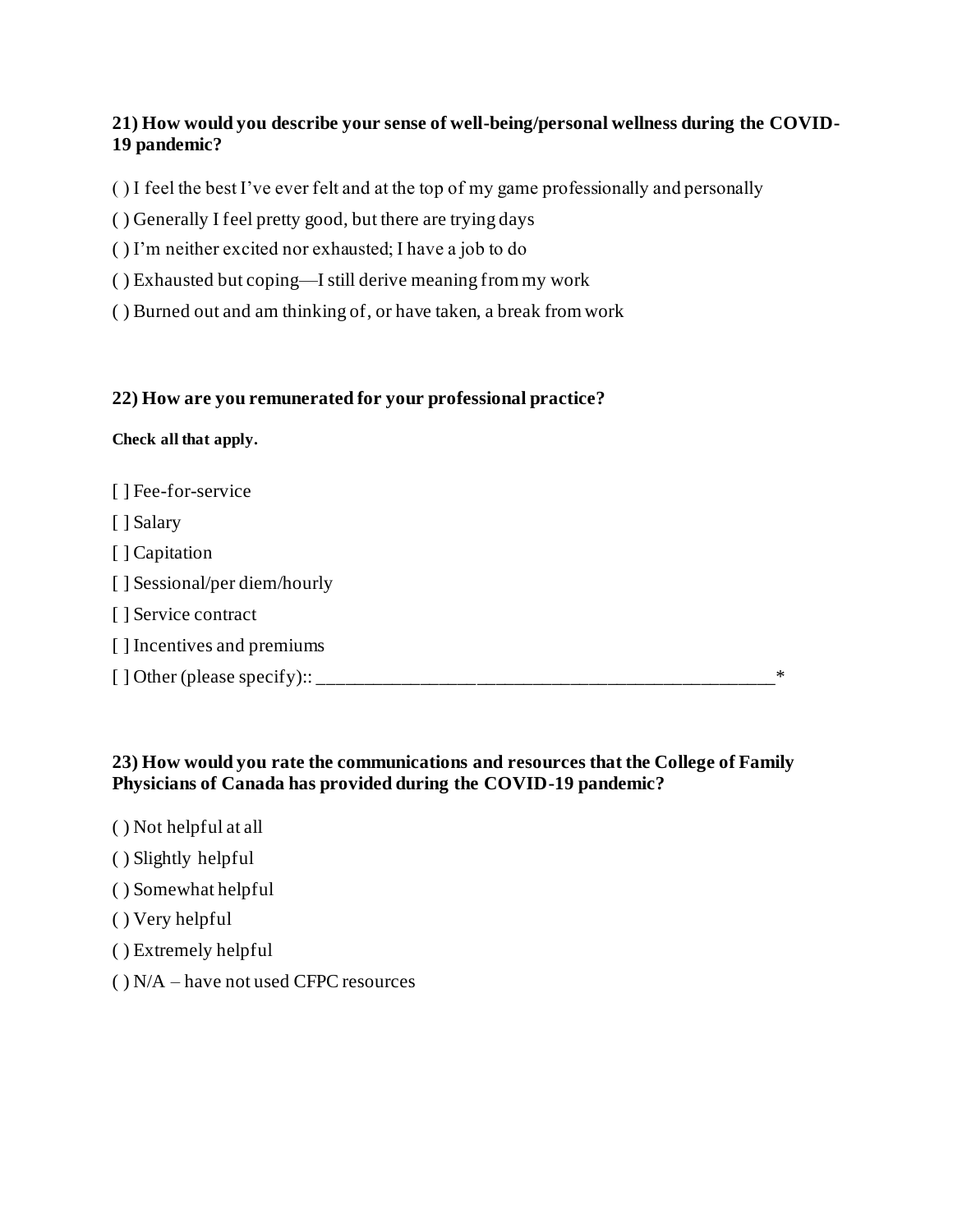#### **21) How would you describe your sense of well-being/personal wellness during the COVID-19 pandemic?**

( ) I feel the best I've ever felt and at the top of my game professionally and personally

- ( ) Generally I feel pretty good, but there are trying days
- ( ) I'm neither excited nor exhausted; I have a job to do
- ( ) Exhausted but coping—I still derive meaning from my work
- ( ) Burned out and am thinking of, or have taken, a break from work

#### **22) How are you remunerated for your professional practice?**

#### **Check all that apply.**

| [] Fee-for-service                |   |
|-----------------------------------|---|
| [ ] Salary                        |   |
| [] Capitation                     |   |
| [ ] Sessional/per diem/hourly     |   |
| [ ] Service contract              |   |
| [] Incentives and premiums        |   |
| $\lceil$ Other (please specify):: | ∗ |

#### **23) How would you rate the communications and resources that the College of Family Physicians of Canada has provided during the COVID-19 pandemic?**

- ( ) Not helpful at all
- ( ) Slightly helpful
- ( ) Somewhat helpful
- ( ) Very helpful
- ( ) Extremely helpful
- ( ) N/A have not used CFPC resources